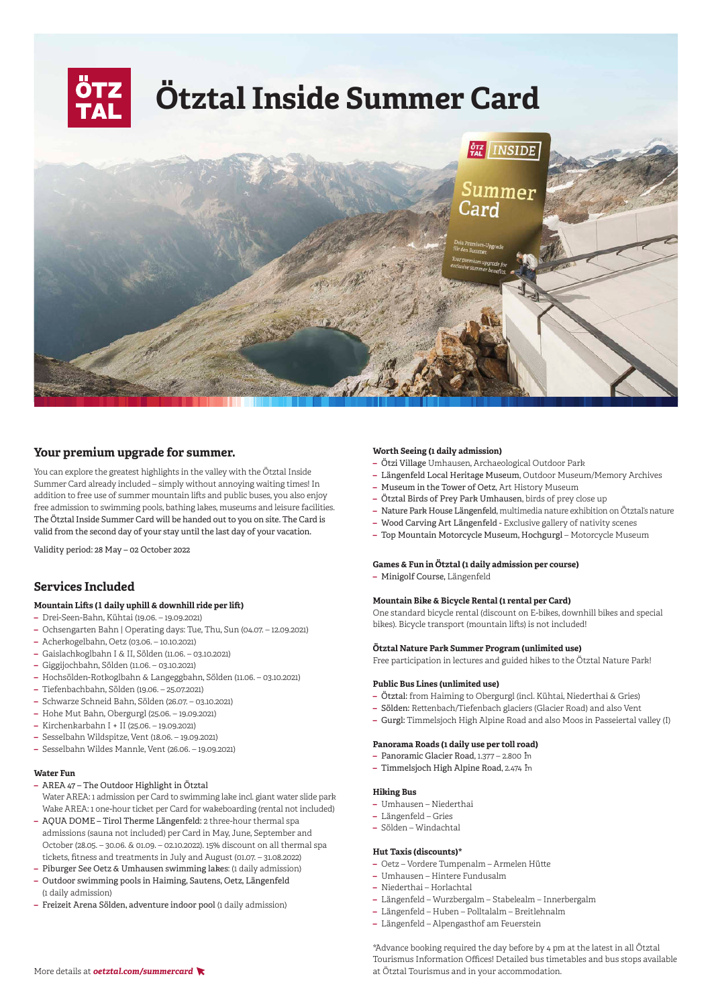

# **Your premium upgrade for summer.**

You can explore the greatest highlights in the valley with the Ötztal Inside Summer Card already included – simply without annoying waiting times! In addition to free use of summer mountain lifts and public buses, you also enjoy free admission to swimming pools, bathing lakes, museums and leisure facilities. The Ötztal Inside Summer Card will be handed out to you on site. The Card is valid from the second day of your stay until the last day of your vacation.

Validity period: 28 May – 02 October 2022

# **Services Included**

# **Mountain Lifts (1 daily uphill & downhill ride per lift)**

- **–** Drei-Seen-Bahn, Kühtai (19.06. 19.09.2021)
- **–** Ochsengarten Bahn | Operating days: Tue, Thu, Sun (04.07. 12.09.2021)
- **–** Acherkogelbahn, Oetz (03.06. 10.10.2021)
- **–** Gaislachkoglbahn I & II, Sölden (11.06. 03.10.2021)
- **–** Giggijochbahn, Sölden (11.06. 03.10.2021)
- **–** Hochsölden-Rotkoglbahn & Langeggbahn, Sölden (11.06. 03.10.2021)
- **–** Tiefenbachbahn, Sölden (19.06. 25.07.2021)
- **–** Schwarze Schneid Bahn, Sölden (26.07. 03.10.2021)
- **–** Hohe Mut Bahn, Obergurgl (25.06. 19.09.2021)
- **–** Kirchenkarbahn I + II (25.06. 19.09.2021)
- **–** Sesselbahn Wildspitze, Vent (18.06. 19.09.2021)
- **–** Sesselbahn Wildes Mannle, Vent (26.06. 19.09.2021)

#### **Water Fun**

- **–** AREA 47 The Outdoor Highlight in Ötztal Water AREA: 1 admission per Card to swimming lake incl. giant water slide park Wake AREA: 1 one-hour ticket per Card for wakeboarding (rental not included)
- **–** AQUA DOME Tirol Therme Längenfeld: 2 three-hour thermal spa admissions (sauna not included) per Card in May, June, September and October (28.05. – 30.06. & 01.09. – 02.10.2022). 15% discount on all thermal spa tickets, fitness and treatments in July and August (01.07. – 31.08.2022)
- **–** Piburger See Oetz & Umhausen swimming lakes: (1 daily admission)
- **–** Outdoor swimming pools in Haiming, Sautens, Oetz, Längenfeld (1 daily admission)
- **–** Freizeit Arena Sölden, adventure indoor pool (1 daily admission)

#### **Worth Seeing (1 daily admission)**

- **–** Ötzi Village Umhausen, Archaeological Outdoor Park
- **–** Längenfeld Local Heritage Museum, Outdoor Museum/Memory Archives
- **–** Museum in the Tower of Oetz, Art History Museum
- **–** Ötztal Birds of Prey Park Umhausen, birds of prey close up
- **–** Nature Park House Längenfeld, multimedia nature exhibition on Ötztal's nature
- **–** Wood Carving Art Längenfeld Exclusive gallery of nativity scenes
- **–** Top Mountain Motorcycle Museum, Hochgurgl Motorcycle Museum

### **Games & Fun in Ötztal (1 daily admission per course)**

**–** Minigolf Course, Längenfeld

### **Mountain Bike & Bicycle Rental (1 rental per Card)**

One standard bicycle rental (discount on E-bikes, downhill bikes and special bikes). Bicycle transport (mountain lifts) is not included!

### **Ötztal Nature Park Summer Program (unlimited use)**

Free participation in lectures and guided hikes to the Ötztal Nature Park!

#### **Public Bus Lines (unlimited use)**

- **–** Ötztal: from Haiming to Obergurgl (incl. Kühtai, Niederthai & Gries)
- **–** Sölden: Rettenbach/Tiefenbach glaciers (Glacier Road) and also Vent
- **–** Gurgl: Timmelsjoch High Alpine Road and also Moos in Passeiertal valley (I)

#### **Panorama Roads (1 daily use per toll road)**

- **-** Panoramic Glacier Road, 1.377 2.800 m
- **-** Timmelsjoch High Alpine Road, 2.474 În

#### **Hiking Bus**

- **–** Umhausen Niederthai
- **–** Längenfeld Gries
- **–** Sölden Windachtal

#### **Hut Taxis (discounts)\***

- **–** Oetz Vordere Tumpenalm Armelen Hütte
- **–** Umhausen Hintere Fundusalm
- **–** Niederthai Horlachtal
- **–** Längenfeld Wurzbergalm Stabelealm Innerbergalm
- **–** Längenfeld Huben Polltalalm Breitlehnalm
- **–** Längenfeld Alpengasthof am Feuerstein

\*Advance booking required the day before by 4 pm at the latest in all Ötztal Tourismus Information Offices! Detailed bus timetables and bus stops available More details at **oetztal.com/summercard**  $\blacktriangledown$  at Ötztal Tourismus and in your accommodation.